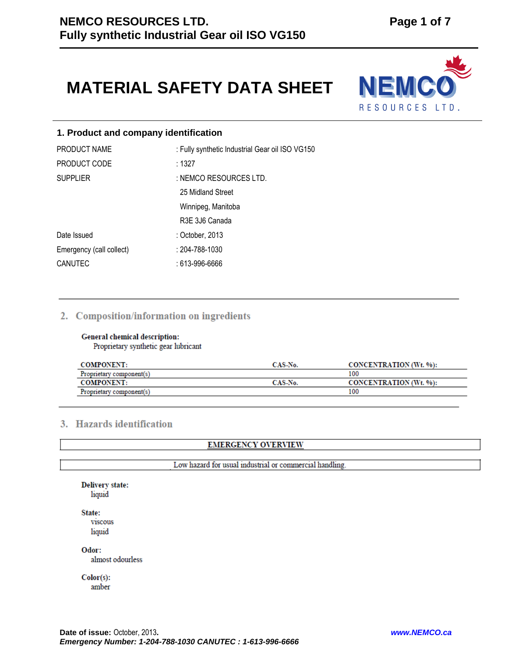# **MATERIAL SAFETY DATA SHEET**



# **1. Product and company identification**

| PRODUCT NAME             | : Fully synthetic Industrial Gear oil ISO VG150 |
|--------------------------|-------------------------------------------------|
| PRODUCT CODE             | :1327                                           |
| <b>SUPPLIER</b>          | : NEMCO RESOURCES LTD.                          |
|                          | 25 Midland Street                               |
|                          | Winnipeg, Manitoba                              |
|                          | R3E 3J6 Canada                                  |
| Date Issued              | : October, 2013                                 |
| Emergency (call collect) | : 204-788-1030                                  |
| CANUTEC                  | : 613-996-6666                                  |

# 2. Composition/information on ingredients

# General chemical description:

Proprietary synthetic gear lubricant

| <b>COMPONENT:</b>        | CAS-No. | CONCENTRATION (Wt. %): |
|--------------------------|---------|------------------------|
| Proprietary component(s) |         | 100                    |
| <b>COMPONENT:</b>        | CAS-No. | CONCENTRATION (Wt. %): |
| Proprietary component(s) |         | 100                    |

# 3. Hazards identification

# **EMERGENCY OVERVIEW**

Low hazard for usual industrial or commercial handling.

| State:           |  |  |
|------------------|--|--|
| <b>VISCOUS</b>   |  |  |
| liquid           |  |  |
| Odor:            |  |  |
| almost odourless |  |  |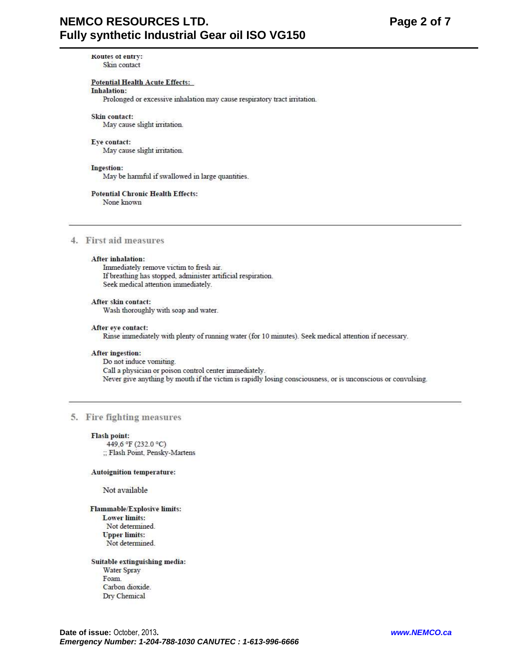Koutes of entry: Skin contact

# **Potential Health Acute Effects:**

# Inhalation:

Prolonged or excessive inhalation may cause respiratory tract irritation.

#### Skin contact:

May cause slight irritation.

#### Eye contact:

May cause slight irritation.

#### Ingestion:

May be harmful if swallowed in large quantities.

#### **Potential Chronic Health Effects:**

None known

# 4. First aid measures

# After inhalation:

Immediately remove victim to fresh air. If breathing has stopped, administer artificial respiration. Seek medical attention immediately.

# After skin contact:

Wash thoroughly with soap and water.

# After eye contact: Rinse immediately with plenty of running water (for 10 minutes). Seek medical attention if necessary.

#### **After ingestion:**

Do not induce vomiting. Call a physician or poison control center immediately. Never give anything by mouth if the victim is rapidly losing consciousness, or is unconscious or convulsing.

# 5. Fire fighting measures

#### **Flash point:**

449.6 °F (232.0 °C) :; Flash Point, Pensky-Martens

#### **Autoignition temperature:**

Not available

Flammable/Explosive limits: **Lower limits:** Not determined. **Upper limits:** Not determined.

# Suitable extinguishing media: Water Spray Foam. Carbon dioxide. Dry Chemical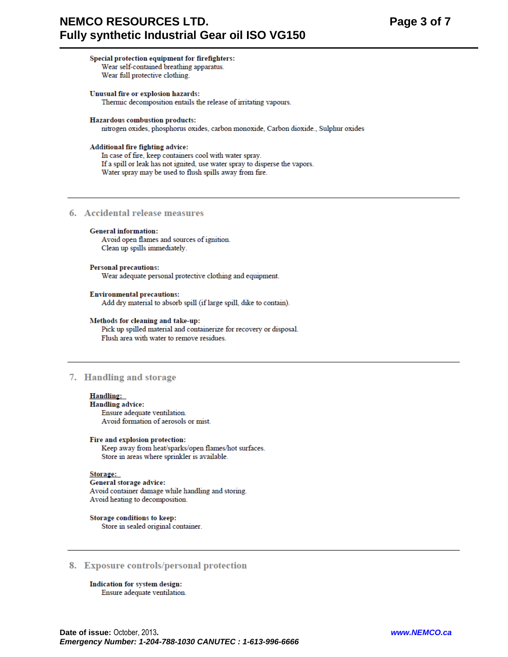# **NEMCO RESOURCES LTD.** Fully synthetic Industrial Gear oil ISO VG150

#### Special protection equipment for firefighters: Wear self-contained breathing apparatus.

Wear full protective clothing.

#### Unusual fire or explosion hazards: Thermic decomposition entails the release of irritating vapours.

**Hazardous combustion products:** 

nitrogen oxides, phosphorus oxides, carbon monoxide, Carbon dioxide., Sulphur oxides

# Additional fire fighting advice:

In case of fire, keep containers cool with water spray. If a spill or leak has not ignited, use water spray to disperse the vapors. Water spray may be used to flush spills away from fire.

# 6. Accidental release measures

# **General information:**

Avoid open flames and sources of ignition. Clean up spills immediately.

#### **Personal precautions:**

Wear adequate personal protective clothing and equipment.

#### **Environmental precautions:**

Add dry material to absorb spill (if large spill, dike to contain).

#### Methods for cleaning and take-up:

Pick up spilled material and containerize for recovery or disposal. Flush area with water to remove residues.

# 7. Handling and storage

# **Handling:**

**Handling advice:** Ensure adequate ventilation. Avoid formation of aerosols or mist.

#### Fire and explosion protection:

Keep away from heat/sparks/open flames/hot surfaces. Store in areas where sprinkler is available.

# Storage:

General storage advice: Avoid container damage while handling and storing. Avoid heating to decomposition.

Storage conditions to keep: Store in sealed original container.

# 8. Exposure controls/personal protection

Indication for system design: Ensure adequate ventilation.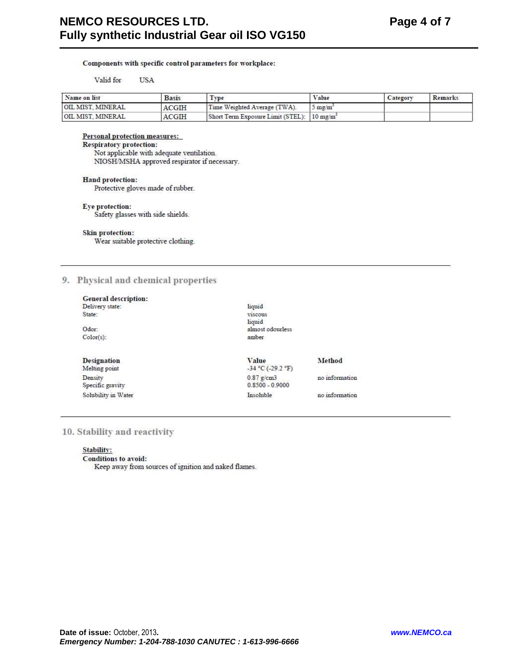# Components with specific control parameters for workplace:

#### Valid for **USA**

| Name on list      | <b>Basis</b> | Type                                                   | Value            | Category | Remarks |
|-------------------|--------------|--------------------------------------------------------|------------------|----------|---------|
| OIL MIST. MINERAL | ACGIH        | Time Weighted Average (TWA).                           | $5 \text{ me/m}$ |          |         |
| OIL MIST. MINERAL | ACGIH        | Short Term Exposure Limit (STEL): 10 mg/m <sup>3</sup> |                  |          |         |

# Personal protection measures:

# **Respiratory protection:**

Not applicable with adequate ventilation. NIOSH/MSHA approved respirator if necessary.

#### **Hand protection:**

Protective gloves made of rubber.

#### Eye protection:

Safety glasses with side shields.

#### Skin protection:

Wear suitable protective clothing.

# 9. Physical and chemical properties

| <b>General description:</b> |                     |                |
|-----------------------------|---------------------|----------------|
| Delivery state:             | liquid              |                |
| State:                      | viscous             |                |
|                             | liquid              |                |
| Odor:                       | almost odourless    |                |
| $Color(s)$ :                | amber               |                |
| <b>Designation</b>          | Value               | Method         |
| Melting point               | $-34 °C (-29.2 °F)$ |                |
| Density                     | $0.87$ g/cm3        | no information |
| Specific gravity            | $0.8500 - 0.9000$   |                |
| Solubility in Water         | Insoluble           | no information |

# 10. Stability and reactivity

# Stability:

# Conditions to avoid:

Keep away from sources of ignition and naked flames.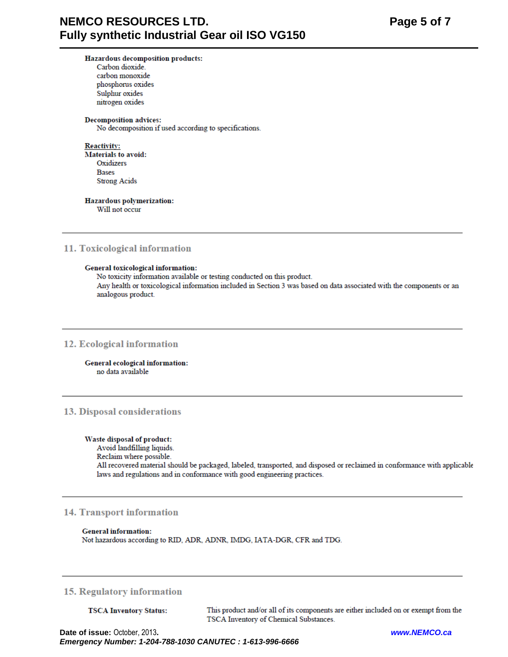# Hazardous decomposition products:

Carbon dioxide. carbon monoxide phosphorus oxides Sulphur oxides nitrogen oxides

#### **Decomposition advices:**

No decomposition if used according to specifications.

**Reactivity: Materials to avoid:** Oxidizers **Bases Strong Acids** 

# Hazardous polymerization:

Will not occur

# 11. Toxicological information

# General toxicological information:

No toxicity information available or testing conducted on this product. Any health or toxicological information included in Section 3 was based on data associated with the components or an analogous product.

# 12. Ecological information

#### General ecological information: no data available

# 13. Disposal considerations

# Waste disposal of product:

Avoid landfilling liquids.

# Reclaim where possible.

All recovered material should be packaged, labeled, transported, and disposed or reclaimed in conformance with applicable laws and regulations and in conformance with good engineering practices.

# **14. Transport information**

# **General information:**

Not hazardous according to RID, ADR, ADNR, IMDG, IATA-DGR, CFR and TDG.

# **15. Regulatory information**

**TSCA Inventory Status:** 

This product and/or all of its components are either included on or exempt from the TSCA Inventory of Chemical Substances.

Date of issue: October, 2013. Emergency Number: 1-204-788-1030 CANUTEC : 1-613-996-6666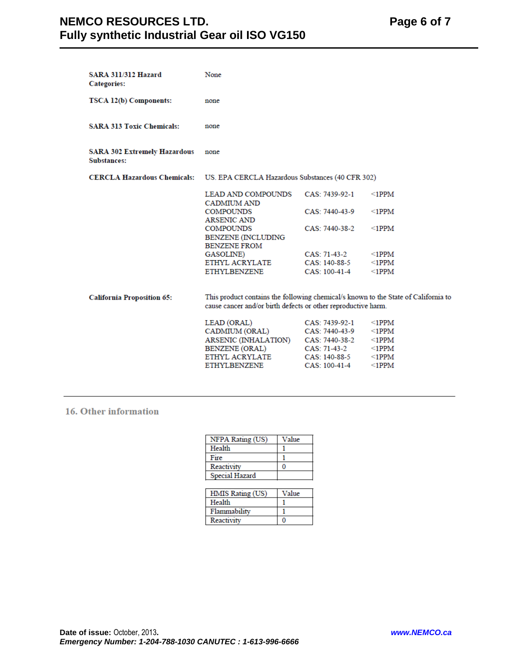| <b>SARA 311/312 Hazard</b><br><b>Categories:</b>   | None                                                                                                                                                |                                                                                                      |                                                                                        |
|----------------------------------------------------|-----------------------------------------------------------------------------------------------------------------------------------------------------|------------------------------------------------------------------------------------------------------|----------------------------------------------------------------------------------------|
| TSCA 12(b) Components:                             | none                                                                                                                                                |                                                                                                      |                                                                                        |
| <b>SARA 313 Toxic Chemicals:</b>                   | none                                                                                                                                                |                                                                                                      |                                                                                        |
| <b>SARA 302 Extremely Hazardous</b><br>Substances: | none                                                                                                                                                |                                                                                                      |                                                                                        |
| <b>CERCLA Hazardous Chemicals:</b>                 | US. EPA CERCLA Hazardous Substances (40 CFR 302)                                                                                                    |                                                                                                      |                                                                                        |
|                                                    | LEAD AND COMPOUNDS<br><b>CADMIUM AND</b>                                                                                                            | CAS: 7439-92-1                                                                                       | $\leq$ 1PPM                                                                            |
|                                                    | <b>COMPOUNDS</b><br><b>ARSENIC AND</b>                                                                                                              | CAS: 7440-43-9                                                                                       | $\leq$ 1PPM                                                                            |
|                                                    | COMPOUNDS<br><b>BENZENE (INCLUDING</b><br><b>BENZENE FROM</b>                                                                                       | CAS: 7440-38-2                                                                                       | $\leq$ 1PPM                                                                            |
|                                                    | GASOLINE)                                                                                                                                           | CAS: 71-43-2                                                                                         | $\leq$ 1PPM                                                                            |
|                                                    | ETHYL ACRYLATE                                                                                                                                      | CAS: 140-88-5                                                                                        | $\leq$ 1PPM                                                                            |
|                                                    | ETHYLBENZENE                                                                                                                                        | CAS: 100-41-4                                                                                        | $\leq$ 1PPM                                                                            |
| <b>California Proposition 65:</b>                  | This product contains the following chemical/s known to the State of California to<br>cause cancer and/or birth defects or other reproductive harm. |                                                                                                      |                                                                                        |
|                                                    | LEAD (ORAL)<br>CADMIUM (ORAL)<br>ARSENIC (INHALATION)<br>BENZENE (ORAL)<br>ETHYL ACRYLATE<br><b>ETHYLBENZENE</b>                                    | CAS: 7439-92-1<br>CAS: 7440-43-9<br>CAS: 7440-38-2<br>CAS: 71-43-2<br>CAS: 140-88-5<br>CAS: 100-41-4 | $\leq$ 1PPM<br>$\leq$ 1PPM<br>$\leq$ 1PPM<br>$\leq$ 1PPM<br>$\leq$ 1PPM<br>$\leq$ 1PPM |

# 16. Other information

| NFPA Rating (US) | Value |
|------------------|-------|
| Health           |       |
| Fire             |       |
| Reactivity       |       |
| Special Hazard   |       |
|                  |       |

| HMIS Rating (US) | Value |
|------------------|-------|
| Health           |       |
| Flammability     |       |
| Reactivity       |       |